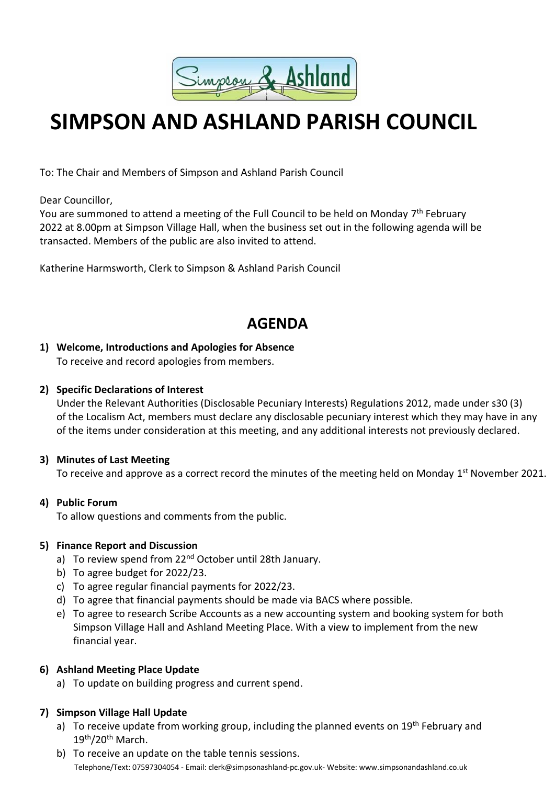

# **SIMPSON AND ASHLAND PARISH COUNCIL**

To: The Chair and Members of Simpson and Ashland Parish Council

Dear Councillor,

You are summoned to attend a meeting of the Full Council to be held on Monday 7<sup>th</sup> February 2022 at 8.00pm at Simpson Village Hall, when the business set out in the following agenda will be transacted. Members of the public are also invited to attend.

Katherine Harmsworth, Clerk to Simpson & Ashland Parish Council

# **AGENDA**

# **1) Welcome, Introductions and Apologies for Absence**

To receive and record apologies from members.

#### **2) Specific Declarations of Interest**

Under the Relevant Authorities (Disclosable Pecuniary Interests) Regulations 2012, made under s30 (3) of the Localism Act, members must declare any disclosable pecuniary interest which they may have in any of the items under consideration at this meeting, and any additional interests not previously declared.

### **3) Minutes of Last Meeting**

To receive and approve as a correct record the minutes of the meeting held on Monday 1<sup>st</sup> November 2021.

### **4) Public Forum**

To allow questions and comments from the public.

#### **5) Finance Report and Discussion**

- a) To review spend from 22<sup>nd</sup> October until 28th January.
- b) To agree budget for 2022/23.
- c) To agree regular financial payments for 2022/23.
- d) To agree that financial payments should be made via BACS where possible.
- e) To agree to research Scribe Accounts as a new accounting system and booking system for both Simpson Village Hall and Ashland Meeting Place. With a view to implement from the new financial year.

### **6) Ashland Meeting Place Update**

a) To update on building progress and current spend.

### **7) Simpson Village Hall Update**

- a) To receive update from working group, including the planned events on  $19<sup>th</sup>$  February and 19th/20<sup>th</sup> March.
- Telephone/Text: 07597304054 Email: clerk@simpsonashland-pc.gov.uk- Website: www.simpsonandashland.co.uk b) To receive an update on the table tennis sessions.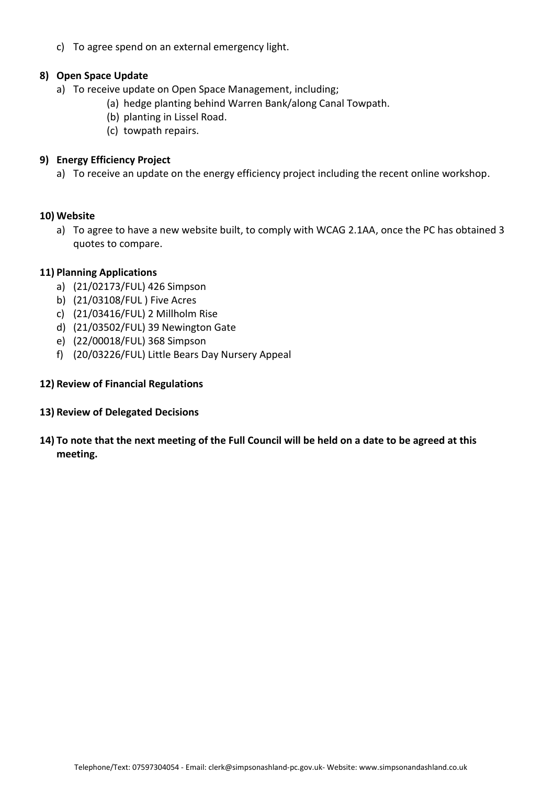c) To agree spend on an external emergency light.

#### **8) Open Space Update**

- a) To receive update on Open Space Management, including;
	- (a) hedge planting behind Warren Bank/along Canal Towpath.
	- (b) planting in Lissel Road.
	- (c) towpath repairs.

#### **9) Energy Efficiency Project**

a) To receive an update on the energy efficiency project including the recent online workshop.

#### **10) Website**

a) To agree to have a new website built, to comply with WCAG 2.1AA, once the PC has obtained 3 quotes to compare.

#### **11) Planning Applications**

- a) (21/02173/FUL) 426 Simpson
- b) (21/03108/FUL ) Five Acres
- c) (21/03416/FUL) 2 Millholm Rise
- d) (21/03502/FUL) 39 Newington Gate
- e) (22/00018/FUL) 368 Simpson
- f) (20/03226/FUL) Little Bears Day Nursery Appeal

#### **12) Review of Financial Regulations**

- **13) Review of Delegated Decisions**
- **14) To note that the next meeting of the Full Council will be held on a date to be agreed at this meeting.**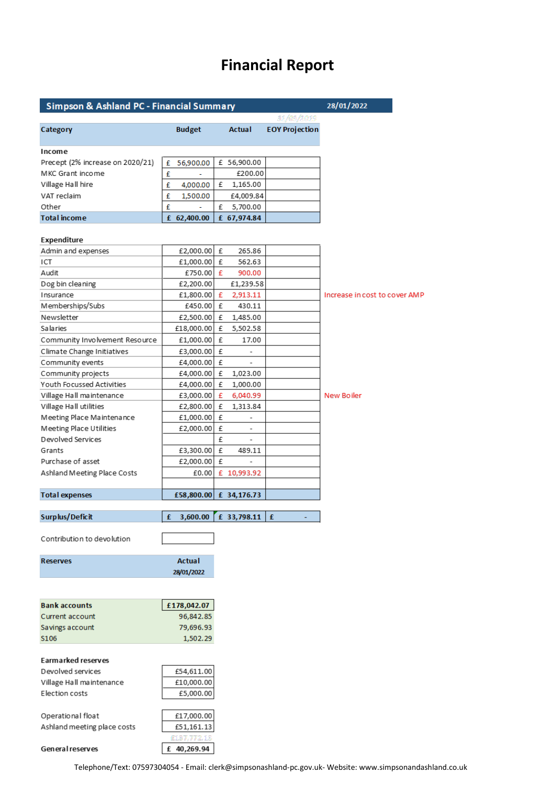# **Financial Report**

| Simpson & Ashland PC - Financial Summary | 28/01/2022                           |   |                          |                       |                               |
|------------------------------------------|--------------------------------------|---|--------------------------|-----------------------|-------------------------------|
|                                          |                                      |   |                          | STASIANTI             |                               |
| Category                                 | <b>Budget</b>                        |   | Actual                   | <b>EOY Projection</b> |                               |
| Income                                   |                                      |   |                          |                       |                               |
| Precept (2% increase on 2020/21)         | 56,900.00<br>£                       |   | £ 56,900.00              |                       |                               |
| MKC Grant income                         | £                                    |   | £200.00                  |                       |                               |
| Village Hall hire                        | £<br>4,000.00                        | £ | 1,165.00                 |                       |                               |
| VAT reclaim                              | £<br>1,500.00                        |   | £4,009.84                |                       |                               |
| Other                                    | £                                    | £ | 5,700.00                 |                       |                               |
| <b>Total income</b>                      | £ 62,400.00                          |   | £ 67,974.84              |                       |                               |
|                                          |                                      |   |                          |                       |                               |
| Expenditure                              |                                      |   |                          |                       |                               |
| Admin and expenses                       | £2,000.00 £                          |   | 265.86                   |                       |                               |
| ICT                                      | £1,000.00 £                          |   | 562.63                   |                       |                               |
| Audit                                    | £750.00 £                            |   | 900.00                   |                       |                               |
| Dog bin cleaning                         | £2,200.00                            |   | £1,239.58                |                       |                               |
| Insurance                                | £1,800.00 £                          |   | 2,913.11                 |                       | Increase in cost to cover AMP |
| Memberships/Subs                         | £450.00 £                            |   | 430.11                   |                       |                               |
| Newsletter                               | £2,500.00 £                          |   | 1,485.00                 |                       |                               |
| <b>Salaries</b>                          | £18,000.00                           | £ | 5,502.58                 |                       |                               |
| Community Involvement Resource           | £1,000.00                            | £ | 17.00                    |                       |                               |
| Climate Change Initiatives               | £3,000.00 £                          |   | -                        |                       |                               |
| Community events                         | £4,000.00 £                          |   |                          |                       |                               |
| Community projects                       | £4,000.00 £                          |   | 1,023.00                 |                       |                               |
| Youth Focussed Activities                | £4,000.00                            | £ | 1,000.00                 |                       |                               |
| Village Hall maintenance                 | £3,000.00                            | £ | 6,040.99                 |                       | New Boiler                    |
| Village Hall utilities                   | £2,800.00                            | £ | 1,313.84                 |                       |                               |
| Meeting Place Maintenance                | £1,000.00                            | £ |                          |                       |                               |
| Meeting Place Utilities                  | £2,000.00                            | £ | $\overline{\phantom{a}}$ |                       |                               |
| Devolved Services                        |                                      | £ |                          |                       |                               |
| Grants                                   | £3,300.00 £                          |   | 489.11                   |                       |                               |
| Purchase of asset                        | £2,000.00 £                          |   |                          |                       |                               |
| Ashland Meeting Place Costs              | £0.00                                |   | £ 10,993.92              |                       |                               |
|                                          |                                      |   |                          |                       |                               |
| <b>Total expenses</b>                    | £58,800.00 £ 34,176.73               |   |                          |                       |                               |
|                                          |                                      |   |                          |                       |                               |
| Surplus/Deficit                          | $f = 3,600.00$ $f = 33,798.11$ $f =$ |   |                          |                       |                               |
| Contribution to devolution               |                                      |   |                          |                       |                               |
|                                          |                                      |   |                          |                       |                               |
| <b>Reserves</b>                          | <b>Actual</b>                        |   |                          |                       |                               |
|                                          | 28/01/2022                           |   |                          |                       |                               |
|                                          |                                      |   |                          |                       |                               |
|                                          |                                      |   |                          |                       |                               |
| <b>Bank accounts</b>                     | £178,042.07                          |   |                          |                       |                               |
| Current account                          | 96,842.85                            |   |                          |                       |                               |
| Savings account                          | 79,696.93                            |   |                          |                       |                               |
| S106                                     | 1,502.29                             |   |                          |                       |                               |
|                                          |                                      |   |                          |                       |                               |
| Earmarked reserves                       |                                      |   |                          |                       |                               |
| Devolved services                        | £54,611.00                           |   |                          |                       |                               |
| Village Hall maintenance                 | £10,000.00                           |   |                          |                       |                               |
| Election costs                           | £5,000.00                            |   |                          |                       |                               |
|                                          |                                      |   |                          |                       |                               |
| Operational float                        | £17,000.00                           |   |                          |                       |                               |
| Ashland meeting place costs              | £51,161.13                           |   |                          |                       |                               |
|                                          |                                      |   |                          |                       |                               |
| General reserves                         | £ 40,269.94                          |   |                          |                       |                               |

Telephone/Text: 07597304054 - Email: clerk@simpsonashland-pc.gov.uk- Website: www.simpsonandashland.co.uk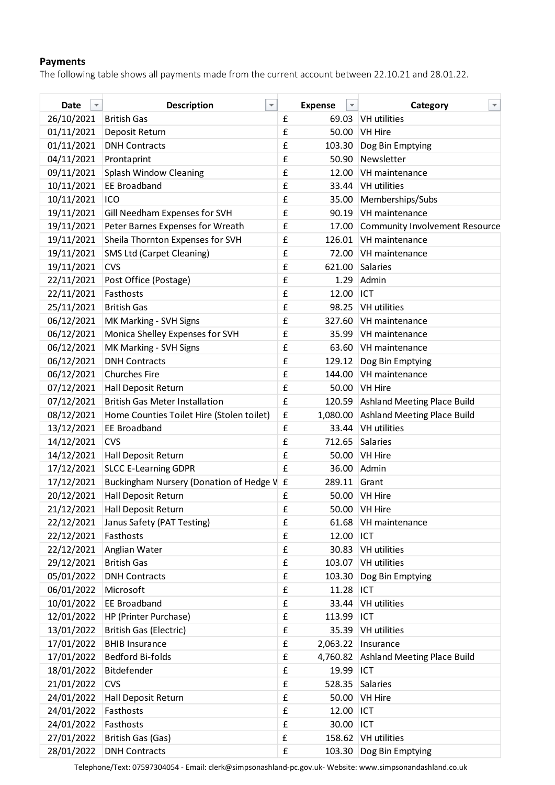## **Payments**

The following table shows all payments made from the current account between 22.10.21 and 28.01.22.

| Date<br>$\overline{\mathbf{v}}$ | $\overline{\mathbf{v}}$<br><b>Description</b> |                    | <b>Expense</b> | $\overline{\mathbf v}$ | v<br>Category                         |
|---------------------------------|-----------------------------------------------|--------------------|----------------|------------------------|---------------------------------------|
| 26/10/2021                      | <b>British Gas</b>                            | £                  | 69.03          |                        | VH utilities                          |
| 01/11/2021                      | Deposit Return                                | £                  | 50.00          |                        | <b>VH Hire</b>                        |
| 01/11/2021                      | <b>DNH Contracts</b>                          | £                  | 103.30         |                        | Dog Bin Emptying                      |
| 04/11/2021                      | Prontaprint                                   | £                  | 50.90          |                        | Newsletter                            |
| 09/11/2021                      | Splash Window Cleaning                        | £                  | 12.00          |                        | VH maintenance                        |
| 10/11/2021                      | <b>EE Broadband</b>                           | £                  | 33.44          |                        | VH utilities                          |
| 10/11/2021                      | ICO                                           | £                  | 35.00          |                        | Memberships/Subs                      |
| 19/11/2021                      | Gill Needham Expenses for SVH                 | £                  | 90.19          |                        | VH maintenance                        |
| 19/11/2021                      | Peter Barnes Expenses for Wreath              | £                  | 17.00          |                        | <b>Community Involvement Resource</b> |
| 19/11/2021                      | Sheila Thornton Expenses for SVH              | £                  | 126.01         |                        | VH maintenance                        |
| 19/11/2021                      | <b>SMS Ltd (Carpet Cleaning)</b>              | £                  | 72.00          |                        | VH maintenance                        |
| 19/11/2021                      | <b>CVS</b>                                    | £                  | 621.00         |                        | Salaries                              |
| 22/11/2021                      | Post Office (Postage)                         | £                  | 1.29           |                        | Admin                                 |
| 22/11/2021                      | Fasthosts                                     | £                  | 12.00          |                        | ICT                                   |
| 25/11/2021                      | <b>British Gas</b>                            | £                  | 98.25          |                        | VH utilities                          |
| 06/12/2021                      | MK Marking - SVH Signs                        | £                  | 327.60         |                        | VH maintenance                        |
| 06/12/2021                      | Monica Shelley Expenses for SVH               | £                  | 35.99          |                        | VH maintenance                        |
| 06/12/2021                      | MK Marking - SVH Signs                        | £                  | 63.60          |                        | VH maintenance                        |
| 06/12/2021                      | <b>DNH Contracts</b>                          | £                  | 129.12         |                        | Dog Bin Emptying                      |
| 06/12/2021                      | <b>Churches Fire</b>                          | £                  | 144.00         |                        | VH maintenance                        |
| 07/12/2021                      | Hall Deposit Return                           | £                  | 50.00          |                        | <b>VH Hire</b>                        |
| 07/12/2021                      | <b>British Gas Meter Installation</b>         | $\pmb{\mathsf{f}}$ |                |                        | 120.59 Ashland Meeting Place Build    |
| 08/12/2021                      | Home Counties Toilet Hire (Stolen toilet)     | £                  | 1,080.00       |                        | <b>Ashland Meeting Place Build</b>    |
| 13/12/2021                      | <b>EE Broadband</b>                           | £                  | 33.44          |                        | <b>VH</b> utilities                   |
| 14/12/2021                      | <b>CVS</b>                                    | £                  | 712.65         |                        | Salaries                              |
| 14/12/2021                      | Hall Deposit Return                           | £                  | 50.00          |                        | <b>VH Hire</b>                        |
| 17/12/2021                      | <b>SLCC E-Learning GDPR</b>                   | £                  | 36.00          |                        | Admin                                 |
| 17/12/2021                      | Buckingham Nursery (Donation of Hedge V £     |                    | 289.11         |                        | Grant                                 |
| 20/12/2021                      | Hall Deposit Return                           | £                  | 50.00          |                        | <b>VH Hire</b>                        |
| 21/12/2021                      | Hall Deposit Return                           | £                  | 50.00          |                        | VH Hire                               |
| 22/12/2021                      | Janus Safety (PAT Testing)                    | £                  | 61.68          |                        | VH maintenance                        |
| 22/12/2021                      | Fasthosts                                     | £                  | 12.00          |                        | ICT                                   |
| 22/12/2021                      | Anglian Water                                 | £                  | 30.83          |                        | <b>VH</b> utilities                   |
| 29/12/2021                      | <b>British Gas</b>                            | £                  | 103.07         |                        | <b>VH</b> utilities                   |
| 05/01/2022                      | <b>DNH Contracts</b>                          | £                  | 103.30         |                        | Dog Bin Emptying                      |
| 06/01/2022                      | Microsoft                                     | £                  | 11.28          |                        | ICT                                   |
| 10/01/2022                      | <b>EE Broadband</b>                           | £                  | 33.44          |                        | VH utilities                          |
| 12/01/2022                      | HP (Printer Purchase)                         | £                  | 113.99         |                        | ICT                                   |
| 13/01/2022                      | British Gas (Electric)                        | £                  | 35.39          |                        | VH utilities                          |
| 17/01/2022                      | <b>BHIB Insurance</b>                         | £                  | 2,063.22       |                        | Insurance                             |
| 17/01/2022                      | Bedford Bi-folds                              | $\pmb{\mathsf{f}}$ | 4,760.82       |                        | <b>Ashland Meeting Place Build</b>    |
| 18/01/2022                      | Bitdefender                                   | £                  | 19.99          |                        | ICT                                   |
| 21/01/2022                      | <b>CVS</b>                                    | £                  | 528.35         |                        | Salaries                              |
| 24/01/2022                      | Hall Deposit Return                           | £                  | 50.00          |                        | <b>VH Hire</b>                        |
| 24/01/2022                      | Fasthosts                                     | £                  | 12.00          |                        | ICT                                   |
| 24/01/2022                      | Fasthosts                                     | £                  | 30.00          |                        | ICT                                   |
| 27/01/2022                      | British Gas (Gas)                             | £                  | 158.62         |                        | VH utilities                          |
| 28/01/2022                      | <b>DNH Contracts</b>                          | £                  | 103.30         |                        | Dog Bin Emptying                      |

Telephone/Text: 07597304054 - Email: clerk@simpsonashland-pc.gov.uk- Website: www.simpsonandashland.co.uk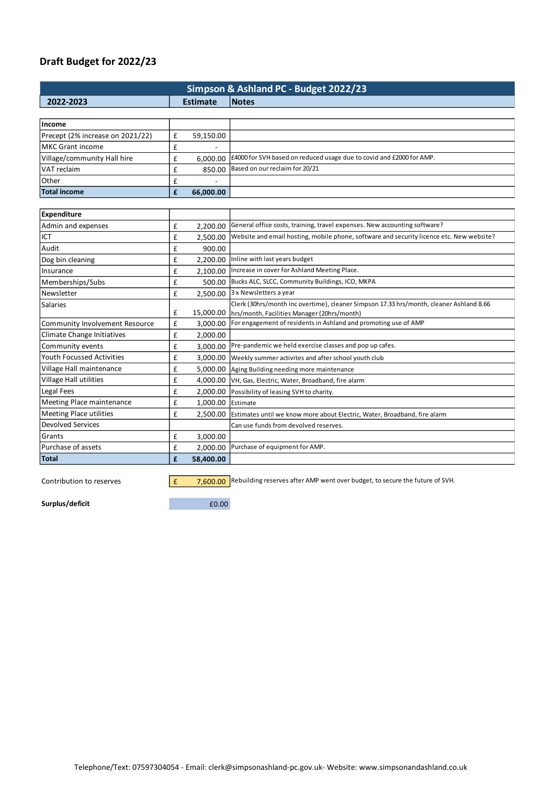# **Draft Budget for 2022/23**

| Simpson & Ashland PC - Budget 2022/23 |                 |           |                                                                                          |  |  |  |  |
|---------------------------------------|-----------------|-----------|------------------------------------------------------------------------------------------|--|--|--|--|
| 2022-2023                             | <b>Estimate</b> |           | <b>Notes</b>                                                                             |  |  |  |  |
|                                       |                 |           |                                                                                          |  |  |  |  |
| Income                                |                 |           |                                                                                          |  |  |  |  |
| Precept (2% increase on 2021/22)      | £               | 59,150.00 |                                                                                          |  |  |  |  |
| <b>MKC Grant income</b>               | £               |           |                                                                                          |  |  |  |  |
| Village/community Hall hire           | £               | 6,000.00  | E4000 for SVH based on reduced usage due to covid and £2000 for AMP.                     |  |  |  |  |
| VAT reclaim                           | £               | 850.00    | Based on our reclaim for 20/21                                                           |  |  |  |  |
| Other                                 | £               |           |                                                                                          |  |  |  |  |
| Total income                          | £               | 66,000.00 |                                                                                          |  |  |  |  |
|                                       |                 |           |                                                                                          |  |  |  |  |
| Expenditure                           |                 |           |                                                                                          |  |  |  |  |
| Admin and expenses                    | £               | 2,200.00  | General office costs, training, travel expenses. New accounting software?                |  |  |  |  |
| ICT                                   | £               | 2,500.00  | Website and email hosting, mobile phone, software and security licence etc. New website? |  |  |  |  |
| Audit                                 | £               | 900.00    |                                                                                          |  |  |  |  |
| Dog bin cleaning                      | £               | 2,200.00  | Inline with last years budget                                                            |  |  |  |  |
| Insurance                             | £               | 2,100.00  | Increase in cover for Ashland Meeting Place.                                             |  |  |  |  |
| Memberships/Subs                      | £               | 500.00    | Bucks ALC, SLCC, Community Buildings, ICO, MKPA                                          |  |  |  |  |
| Newsletter                            | £               | 2,500.00  | 3 x Newsletters a year                                                                   |  |  |  |  |
| Salaries                              |                 |           | Clerk (30hrs/month inc overtime), cleaner Simpson 17.33 hrs/month, cleaner Ashland 8.66  |  |  |  |  |
|                                       | £               | 15,000.00 | hrs/month, Facilities Manager (20hrs/month)                                              |  |  |  |  |
| Community Involvement Resource        | £               | 3,000.00  | For engagement of residents in Ashland and promoting use of AMP                          |  |  |  |  |
| Climate Change Initiatives            | £               | 2,000.00  |                                                                                          |  |  |  |  |
| Community events                      | £               | 3,000.00  | Pre-pandemic we held exercise classes and pop up cafes.                                  |  |  |  |  |
| <b>Youth Focussed Activities</b>      | £               | 3,000.00  | Weekly summer activites and after school youth club                                      |  |  |  |  |
| Village Hall maintenance              | £               | 5,000.00  | Aging Building needing more maintenance                                                  |  |  |  |  |
| Village Hall utilities                | £               | 4,000.00  | VH, Gas, Electric, Water, Broadband, fire alarm                                          |  |  |  |  |
| Legal Fees                            | £               | 2,000.00  | Possibility of leasing SVH to charity.                                                   |  |  |  |  |
| Meeting Place maintenance             | £               | 1,000.00  | Estimate                                                                                 |  |  |  |  |
| <b>Meeting Place utilities</b>        | £               | 2,500.00  | Estimates until we know more about Electric, Water, Broadband, fire alarm                |  |  |  |  |
| <b>Devolved Services</b>              |                 |           | Can use funds from devolved reserves.                                                    |  |  |  |  |
| Grants                                | £               | 3,000.00  |                                                                                          |  |  |  |  |
| Purchase of assets                    | $\mathbf f$     | 2,000.00  | Purchase of equipment for AMP.                                                           |  |  |  |  |
| Total                                 | £               | 58,400.00 |                                                                                          |  |  |  |  |

Contribution to reserves  $\boxed{f}$  7,600.00 Rebuilding reserves after AMP went over budget, to secure the future of SVH.

**Surplus/deficit**  $\qquad 60.00$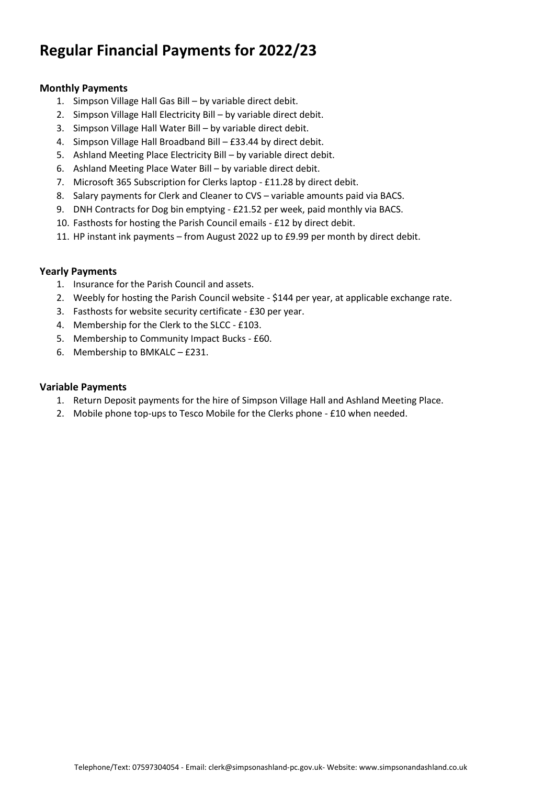# **Regular Financial Payments for 2022/23**

#### **Monthly Payments**

- 1. Simpson Village Hall Gas Bill by variable direct debit.
- 2. Simpson Village Hall Electricity Bill by variable direct debit.
- 3. Simpson Village Hall Water Bill by variable direct debit.
- 4. Simpson Village Hall Broadband Bill £33.44 by direct debit.
- 5. Ashland Meeting Place Electricity Bill by variable direct debit.
- 6. Ashland Meeting Place Water Bill by variable direct debit.
- 7. Microsoft 365 Subscription for Clerks laptop £11.28 by direct debit.
- 8. Salary payments for Clerk and Cleaner to CVS variable amounts paid via BACS.
- 9. DNH Contracts for Dog bin emptying £21.52 per week, paid monthly via BACS.
- 10. Fasthosts for hosting the Parish Council emails £12 by direct debit.
- 11. HP instant ink payments from August 2022 up to £9.99 per month by direct debit.

#### **Yearly Payments**

- 1. Insurance for the Parish Council and assets.
- 2. Weebly for hosting the Parish Council website \$144 per year, at applicable exchange rate.
- 3. Fasthosts for website security certificate £30 per year.
- 4. Membership for the Clerk to the SLCC £103.
- 5. Membership to Community Impact Bucks £60.
- 6. Membership to BMKALC £231.

#### **Variable Payments**

- 1. Return Deposit payments for the hire of Simpson Village Hall and Ashland Meeting Place.
- 2. Mobile phone top-ups to Tesco Mobile for the Clerks phone £10 when needed.